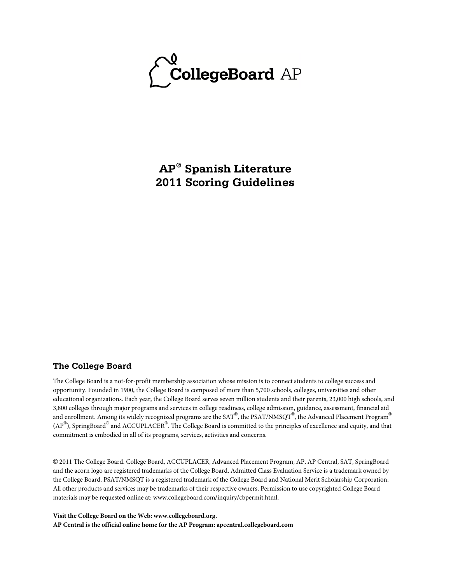

**AP® Spanish Literature 2011 Scoring Guidelines**

#### **The College Board**

The College Board is a not-for-profit membership association whose mission is to connect students to college success and opportunity. Founded in 1900, the College Board is composed of more than 5,700 schools, colleges, universities and other educational organizations. Each year, the College Board serves seven million students and their parents, 23,000 high schools, and 3,800 colleges through major programs and services in college readiness, college admission, guidance, assessment, financial aid and enrollment. Among its widely recognized programs are the SAT®, the PSAT/NMSQT®, the Advanced Placement Program® (AP $^{\circledR}$ ), SpringBoard $^{\circledR}$  and ACCUPLACER $^{\circledR}$ . The College Board is committed to the principles of excellence and equity, and that commitment is embodied in all of its programs, services, activities and concerns.

© 2011 The College Board. College Board, ACCUPLACER, Advanced Placement Program, AP, AP Central, SAT, SpringBoard and the acorn logo are registered trademarks of the College Board. Admitted Class Evaluation Service is a trademark owned by the College Board. PSAT/NMSQT is a registered trademark of the College Board and National Merit Scholarship Corporation. All other products and services may be trademarks of their respective owners. Permission to use copyrighted College Board materials may be requested online at: www.collegeboard.com/inquiry/cbpermit.html.

**Visit the College Board on the Web: www.collegeboard.org. AP Central is the official online home for the AP Program: apcentral.collegeboard.com**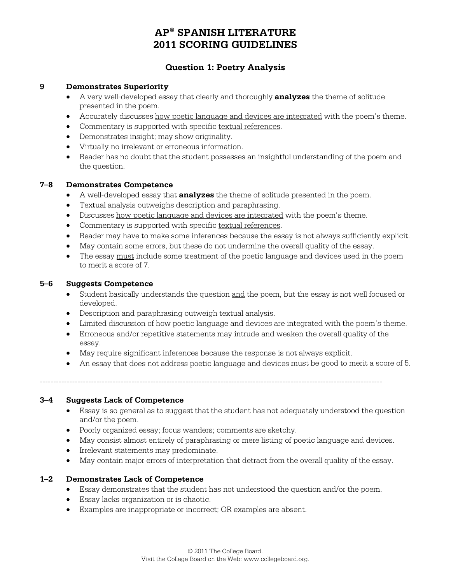## **Question 1: Poetry Analysis**

#### **9 Demonstrates Superiority**

- A very well-developed essay that clearly and thoroughly **analyzes** the theme of solitude presented in the poem.
- Accurately discusses how poetic language and devices are integrated with the poem's theme.
- Commentary is supported with specific textual references.
- Demonstrates insight; may show originality.
- Virtually no irrelevant or erroneous information.
- Reader has no doubt that the student possesses an insightful understanding of the poem and the question.

#### **7–8 Demonstrates Competence**

- A well-developed essay that **analyzes** the theme of solitude presented in the poem.
- Textual analysis outweighs description and paraphrasing.
- Discusses how poetic language and devices are integrated with the poem's theme.
- Commentary is supported with specific textual references.
- Reader may have to make some inferences because the essay is not always sufficiently explicit.
- May contain some errors, but these do not undermine the overall quality of the essay.
- The essay must include some treatment of the poetic language and devices used in the poem to merit a score of 7.

#### **5–6 Suggests Competence**

- Student basically understands the question and the poem, but the essay is not well focused or developed.
- Description and paraphrasing outweigh textual analysis.
- Limited discussion of how poetic language and devices are integrated with the poem's theme.
- Erroneous and/or repetitive statements may intrude and weaken the overall quality of the essay.
- May require significant inferences because the response is not always explicit.
- An essay that does not address poetic language and devices must be good to merit a score of 5.

-------------------------------------------------------------------------------------------------------------------------------

#### **3–4 Suggests Lack of Competence**

- Essay is so general as to suggest that the student has not adequately understood the question and/or the poem.
- Poorly organized essay; focus wanders; comments are sketchy.
- May consist almost entirely of paraphrasing or mere listing of poetic language and devices.
- Irrelevant statements may predominate.
- May contain major errors of interpretation that detract from the overall quality of the essay.

## **1–2 Demonstrates Lack of Competence**

- Essay demonstrates that the student has not understood the question and/or the poem.
- Essay lacks organization or is chaotic.
- Examples are inappropriate or incorrect; OR examples are absent.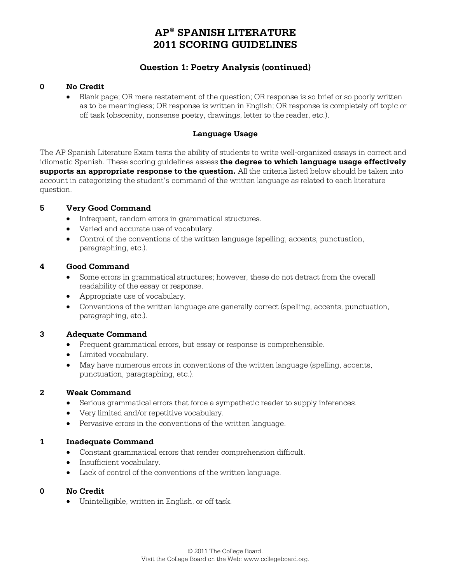# **Question 1: Poetry Analysis (continued)**

### **0 No Credit**

• Blank page; OR mere restatement of the question; OR response is so brief or so poorly written as to be meaningless; OR response is written in English; OR response is completely off topic or off task (obscenity, nonsense poetry, drawings, letter to the reader, etc.).

## **Language Usage**

The AP Spanish Literature Exam tests the ability of students to write well-organized essays in correct and idiomatic Spanish. These scoring guidelines assess **the degree to which language usage effectively supports an appropriate response to the question.** All the criteria listed below should be taken into account in categorizing the student's command of the written language as related to each literature question.

#### **5 Very Good Command**

- Infrequent, random errors in grammatical structures.
- Varied and accurate use of vocabulary.
- Control of the conventions of the written language (spelling, accents, punctuation, paragraphing, etc.).

#### **4 Good Command**

- Some errors in grammatical structures; however, these do not detract from the overall readability of the essay or response.
- Appropriate use of vocabulary.
- Conventions of the written language are generally correct (spelling, accents, punctuation, paragraphing, etc.).

#### **3 Adequate Command**

- Frequent grammatical errors, but essay or response is comprehensible.
- Limited vocabulary.
- May have numerous errors in conventions of the written language (spelling, accents, punctuation, paragraphing, etc.).

#### **2 Weak Command**

- Serious grammatical errors that force a sympathetic reader to supply inferences.
- Very limited and/or repetitive vocabulary.
- Pervasive errors in the conventions of the written language.

#### **1 Inadequate Command**

- Constant grammatical errors that render comprehension difficult.
- Insufficient vocabulary.
- Lack of control of the conventions of the written language.

#### **0 No Credit**

• Unintelligible, written in English, or off task.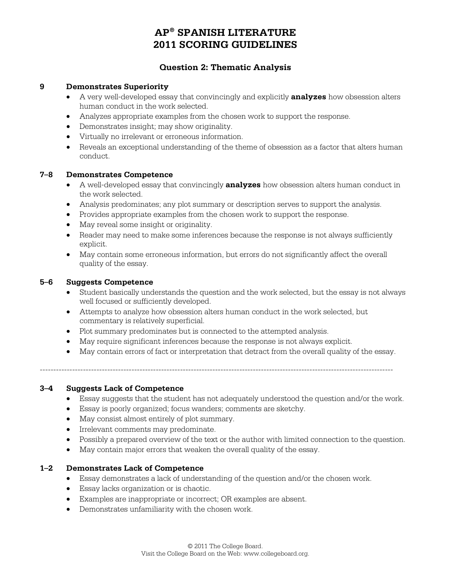## **Question 2: Thematic Analysis**

#### **9 Demonstrates Superiority**

- A very well-developed essay that convincingly and explicitly **analyzes** how obsession alters human conduct in the work selected.
- Analyzes appropriate examples from the chosen work to support the response.
- Demonstrates insight; may show originality.
- Virtually no irrelevant or erroneous information.
- Reveals an exceptional understanding of the theme of obsession as a factor that alters human conduct.

#### **7–8 Demonstrates Competence**

- A well-developed essay that convincingly **analyzes** how obsession alters human conduct in the work selected.
- Analysis predominates; any plot summary or description serves to support the analysis.
- Provides appropriate examples from the chosen work to support the response.
- May reveal some insight or originality.
- Reader may need to make some inferences because the response is not always sufficiently explicit.
- May contain some erroneous information, but errors do not significantly affect the overall quality of the essay.

#### **5–6 Suggests Competence**

- Student basically understands the question and the work selected, but the essay is not always well focused or sufficiently developed.
- Attempts to analyze how obsession alters human conduct in the work selected, but commentary is relatively superficial.
- Plot summary predominates but is connected to the attempted analysis.
- May require significant inferences because the response is not always explicit.
- May contain errors of fact or interpretation that detract from the overall quality of the essay.

 $-1-\frac{1}{2}$ 

#### **3–4 Suggests Lack of Competence**

- Essay suggests that the student has not adequately understood the question and/or the work.
- Essay is poorly organized; focus wanders; comments are sketchy.
- May consist almost entirely of plot summary.
- Irrelevant comments may predominate.
- Possibly a prepared overview of the text or the author with limited connection to the question.
- May contain major errors that weaken the overall quality of the essay.

#### **1–2 Demonstrates Lack of Competence**

- Essay demonstrates a lack of understanding of the question and/or the chosen work.
- Essay lacks organization or is chaotic.
- Examples are inappropriate or incorrect; OR examples are absent.
- Demonstrates unfamiliarity with the chosen work.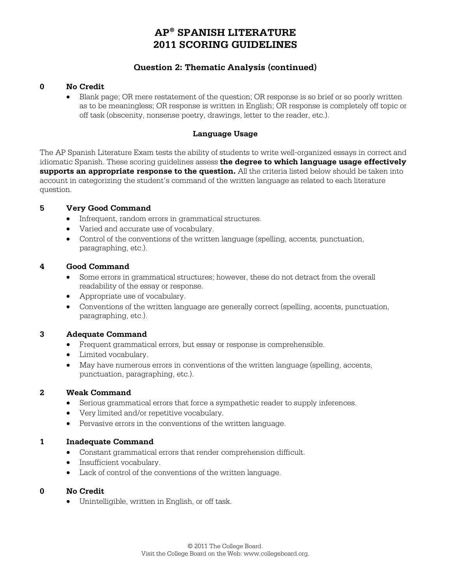# **Question 2: Thematic Analysis (continued)**

#### **0 No Credit**

• Blank page; OR mere restatement of the question; OR response is so brief or so poorly written as to be meaningless; OR response is written in English; OR response is completely off topic or off task (obscenity, nonsense poetry, drawings, letter to the reader, etc.).

### **Language Usage**

The AP Spanish Literature Exam tests the ability of students to write well-organized essays in correct and idiomatic Spanish. These scoring guidelines assess **the degree to which language usage effectively supports an appropriate response to the question.** All the criteria listed below should be taken into account in categorizing the student's command of the written language as related to each literature question.

#### **5 Very Good Command**

- Infrequent, random errors in grammatical structures.
- Varied and accurate use of vocabulary.
- Control of the conventions of the written language (spelling, accents, punctuation, paragraphing, etc.).

#### **4 Good Command**

- Some errors in grammatical structures; however, these do not detract from the overall readability of the essay or response.
- Appropriate use of vocabulary.
- Conventions of the written language are generally correct (spelling, accents, punctuation, paragraphing, etc.).

#### **3 Adequate Command**

- Frequent grammatical errors, but essay or response is comprehensible.
- Limited vocabulary.
- May have numerous errors in conventions of the written language (spelling, accents, punctuation, paragraphing, etc.).

#### **2 Weak Command**

- Serious grammatical errors that force a sympathetic reader to supply inferences.
- Very limited and/or repetitive vocabulary.
- Pervasive errors in the conventions of the written language.

#### **1 Inadequate Command**

- Constant grammatical errors that render comprehension difficult.
- Insufficient vocabulary.
- Lack of control of the conventions of the written language.

#### **0 No Credit**

• Unintelligible, written in English, or off task.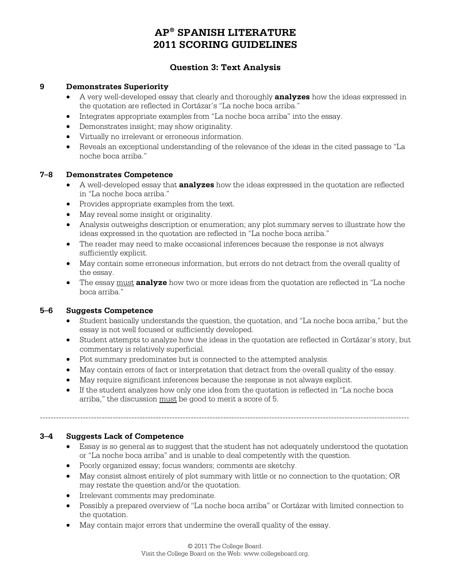# **Question 3: Text Analysis**

#### **9 Demonstrates Superiority**

- A very well-developed essay that clearly and thoroughly **analyzes** how the ideas expressed in the quotation are reflected in Cortázar's "La noche boca arriba."
- Integrates appropriate examples from "La noche boca arriba" into the essay.
- Demonstrates insight; may show originality.
- Virtually no irrelevant or erroneous information.
- Reveals an exceptional understanding of the relevance of the ideas in the cited passage to "La noche boca arriba."

#### **7–8 Demonstrates Competence**

- A well-developed essay that **analyzes** how the ideas expressed in the quotation are reflected in "La noche boca arriba."
- Provides appropriate examples from the text.
- May reveal some insight or originality.
- Analysis outweighs description or enumeration; any plot summary serves to illustrate how the ideas expressed in the quotation are reflected in "La noche boca arriba."
- The reader may need to make occasional inferences because the response is not always sufficiently explicit.
- May contain some erroneous information, but errors do not detract from the overall quality of the essay.
- The essay must **analyze** how two or more ideas from the quotation are reflected in "La noche boca arriba."

#### **5–6 Suggests Competence**

- Student basically understands the question, the quotation, and "La noche boca arriba," but the essay is not well focused or sufficiently developed.
- Student attempts to analyze how the ideas in the quotation are reflected in Cortázar's story, but commentary is relatively superficial.
- Plot summary predominates but is connected to the attempted analysis.
- May contain errors of fact or interpretation that detract from the overall quality of the essay.
- May require significant inferences because the response is not always explicit.
- If the student analyzes how only one idea from the quotation is reflected in "La noche boca arriba," the discussion must be good to merit a score of 5.

-----------------------------------------------------------------------------------------------------------------------------------------

#### **3–4 Suggests Lack of Competence**

- Essay is so general as to suggest that the student has not adequately understood the quotation or "La noche boca arriba" and is unable to deal competently with the question.
- Poorly organized essay; focus wanders; comments are sketchy.
- May consist almost entirely of plot summary with little or no connection to the quotation; OR may restate the question and/or the quotation.
- Irrelevant comments may predominate.
- Possibly a prepared overview of "La noche boca arriba" or Cortázar with limited connection to the quotation.
- May contain major errors that undermine the overall quality of the essay.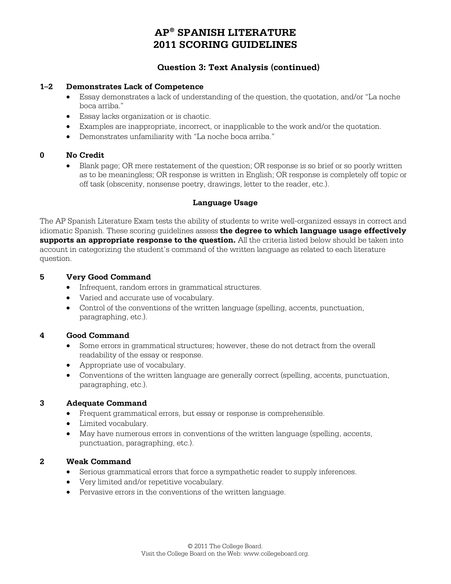## **Question 3: Text Analysis (continued)**

#### **1–2 Demonstrates Lack of Competence**

- Essay demonstrates a lack of understanding of the question, the quotation, and/or "La noche boca arriba."
- Essay lacks organization or is chaotic.
- Examples are inappropriate, incorrect, or inapplicable to the work and/or the quotation.
- Demonstrates unfamiliarity with "La noche boca arriba."

### **0 No Credit**

• Blank page; OR mere restatement of the question; OR response is so brief or so poorly written as to be meaningless; OR response is written in English; OR response is completely off topic or off task (obscenity, nonsense poetry, drawings, letter to the reader, etc.).

### **Language Usage**

The AP Spanish Literature Exam tests the ability of students to write well-organized essays in correct and idiomatic Spanish. These scoring guidelines assess **the degree to which language usage effectively supports an appropriate response to the question.** All the criteria listed below should be taken into account in categorizing the student's command of the written language as related to each literature question.

### **5 Very Good Command**

- Infrequent, random errors in grammatical structures.
- Varied and accurate use of vocabulary.
- Control of the conventions of the written language (spelling, accents, punctuation, paragraphing, etc.).

## **4 Good Command**

- Some errors in grammatical structures; however, these do not detract from the overall readability of the essay or response.
- Appropriate use of vocabulary.
- Conventions of the written language are generally correct (spelling, accents, punctuation, paragraphing, etc.).

#### **3 Adequate Command**

- Frequent grammatical errors, but essay or response is comprehensible.
- Limited vocabulary.
- May have numerous errors in conventions of the written language (spelling, accents, punctuation, paragraphing, etc.).

#### **2 Weak Command**

- Serious grammatical errors that force a sympathetic reader to supply inferences.
- Very limited and/or repetitive vocabulary.
- Pervasive errors in the conventions of the written language.